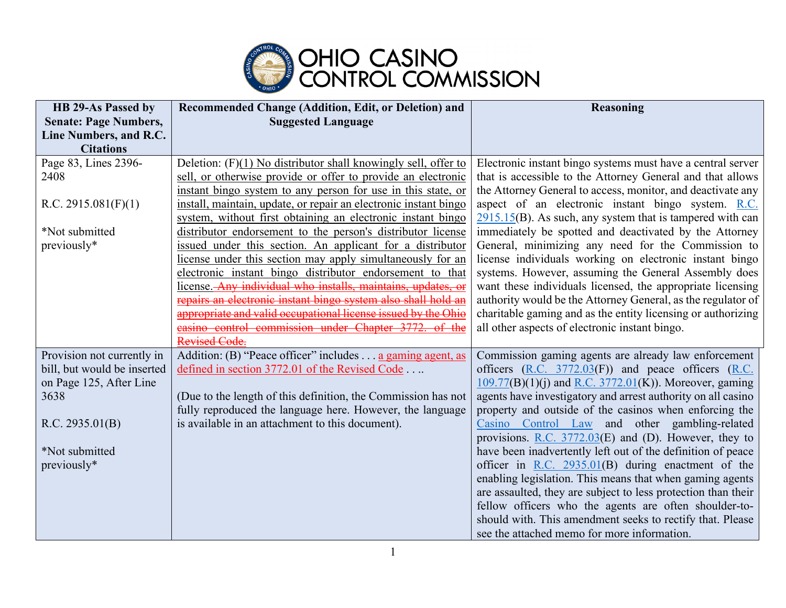

| <b>HB 29-As Passed by</b>    | Recommended Change (Addition, Edit, or Deletion) and             | <b>Reasoning</b>                                                    |
|------------------------------|------------------------------------------------------------------|---------------------------------------------------------------------|
| <b>Senate: Page Numbers,</b> | <b>Suggested Language</b>                                        |                                                                     |
| Line Numbers, and R.C.       |                                                                  |                                                                     |
| <b>Citations</b>             |                                                                  |                                                                     |
| Page 83, Lines 2396-         | Deletion: $(F)(1)$ No distributor shall knowingly sell, offer to | Electronic instant bingo systems must have a central server         |
| 2408                         | sell, or otherwise provide or offer to provide an electronic     | that is accessible to the Attorney General and that allows          |
|                              | instant bingo system to any person for use in this state, or     | the Attorney General to access, monitor, and deactivate any         |
| R.C. 2915.081(F)(1)          | install, maintain, update, or repair an electronic instant bingo | aspect of an electronic instant bingo system. R.C.                  |
|                              | system, without first obtaining an electronic instant bingo      | $2915.15(B)$ . As such, any system that is tampered with can        |
| *Not submitted               | distributor endorsement to the person's distributor license      | immediately be spotted and deactivated by the Attorney              |
| previously*                  | issued under this section. An applicant for a distributor        | General, minimizing any need for the Commission to                  |
|                              | license under this section may apply simultaneously for an       | license individuals working on electronic instant bingo             |
|                              | electronic instant bingo distributor endorsement to that         | systems. However, assuming the General Assembly does                |
|                              | license. Any individual who installs, maintains, updates, or     | want these individuals licensed, the appropriate licensing          |
|                              | repairs an electronic instant bingo system also shall hold an    | authority would be the Attorney General, as the regulator of        |
|                              | appropriate and valid occupational license issued by the Ohio    | charitable gaming and as the entity licensing or authorizing        |
|                              | easino control commission under Chapter 3772. of the             | all other aspects of electronic instant bingo.                      |
|                              | Revised Code.                                                    |                                                                     |
| Provision not currently in   | Addition: (B) "Peace officer" includes a gaming agent, as        | Commission gaming agents are already law enforcement                |
| bill, but would be inserted  | defined in section 3772.01 of the Revised Code                   | officers $(R.C. 3772.03(F))$ and peace officers $(R.C. 3772.03(F))$ |
| on Page 125, After Line      |                                                                  | $109.77(B)(1)(j)$ and R.C. 3772.01(K)). Moreover, gaming            |
| 3638                         | (Due to the length of this definition, the Commission has not    | agents have investigatory and arrest authority on all casino        |
|                              | fully reproduced the language here. However, the language        | property and outside of the casinos when enforcing the              |
| R.C. 2935.01(B)              | is available in an attachment to this document).                 | Casino Control Law and other gambling-related                       |
|                              |                                                                  | provisions. R.C. $3772.03(E)$ and (D). However, they to             |
| *Not submitted               |                                                                  | have been inadvertently left out of the definition of peace         |
| previously*                  |                                                                  | officer in R.C. $2935.01(B)$ during enactment of the                |
|                              |                                                                  | enabling legislation. This means that when gaming agents            |
|                              |                                                                  | are assaulted, they are subject to less protection than their       |
|                              |                                                                  | fellow officers who the agents are often shoulder-to-               |
|                              |                                                                  | should with. This amendment seeks to rectify that. Please           |
|                              |                                                                  | see the attached memo for more information.                         |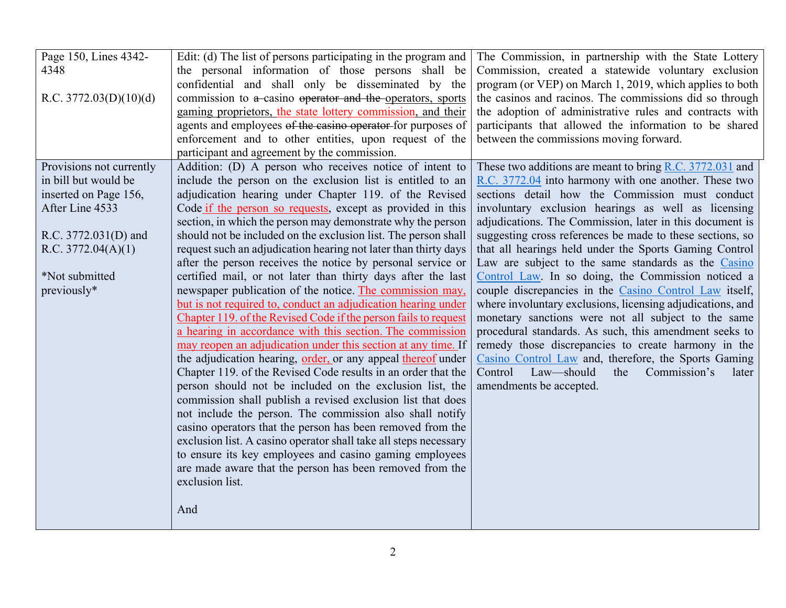| Page 150, Lines 4342-<br>4348<br>R.C. $3772.03(D)(10)(d)$                                                                                                                   | Edit: (d) The list of persons participating in the program and<br>the personal information of those persons shall be<br>confidential and shall only be disseminated by the<br>commission to a casino operator and the operators, sports<br>gaming proprietors, the state lottery commission, and their<br>agents and employees of the casino operator for purposes of<br>enforcement and to other entities, upon request of the<br>participant and agreement by the commission.                                                                                                                                                                                                                                                                                                                                                                                                                                                                                                                                                                                                                                                                                                                                                                                                                                                                                                                                                                                                                                           | The Commission, in partnership with the State Lottery<br>Commission, created a statewide voluntary exclusion<br>program (or VEP) on March 1, 2019, which applies to both<br>the casinos and racinos. The commissions did so through<br>the adoption of administrative rules and contracts with<br>participants that allowed the information to be shared<br>between the commissions moving forward.                                                                                                                                                                                                                                                                                                                                                                                                                                                                                                                                                                       |
|-----------------------------------------------------------------------------------------------------------------------------------------------------------------------------|---------------------------------------------------------------------------------------------------------------------------------------------------------------------------------------------------------------------------------------------------------------------------------------------------------------------------------------------------------------------------------------------------------------------------------------------------------------------------------------------------------------------------------------------------------------------------------------------------------------------------------------------------------------------------------------------------------------------------------------------------------------------------------------------------------------------------------------------------------------------------------------------------------------------------------------------------------------------------------------------------------------------------------------------------------------------------------------------------------------------------------------------------------------------------------------------------------------------------------------------------------------------------------------------------------------------------------------------------------------------------------------------------------------------------------------------------------------------------------------------------------------------------|---------------------------------------------------------------------------------------------------------------------------------------------------------------------------------------------------------------------------------------------------------------------------------------------------------------------------------------------------------------------------------------------------------------------------------------------------------------------------------------------------------------------------------------------------------------------------------------------------------------------------------------------------------------------------------------------------------------------------------------------------------------------------------------------------------------------------------------------------------------------------------------------------------------------------------------------------------------------------|
| Provisions not currently<br>in bill but would be<br>inserted on Page 156,<br>After Line 4533<br>R.C. 3772.031(D) and<br>R.C. 3772.04(A)(1)<br>*Not submitted<br>previously* | Addition: (D) A person who receives notice of intent to<br>include the person on the exclusion list is entitled to an<br>adjudication hearing under Chapter 119. of the Revised<br>Code if the person so requests, except as provided in this<br>section, in which the person may demonstrate why the person<br>should not be included on the exclusion list. The person shall<br>request such an adjudication hearing not later than thirty days<br>after the person receives the notice by personal service or<br>certified mail, or not later than thirty days after the last<br>newspaper publication of the notice. The commission may,<br>but is not required to, conduct an adjudication hearing under<br>Chapter 119. of the Revised Code if the person fails to request<br>a hearing in accordance with this section. The commission<br>may reopen an adjudication under this section at any time. If<br>the adjudication hearing, order, or any appeal thereof under<br>Chapter 119. of the Revised Code results in an order that the<br>person should not be included on the exclusion list, the<br>commission shall publish a revised exclusion list that does<br>not include the person. The commission also shall notify<br>casino operators that the person has been removed from the<br>exclusion list. A casino operator shall take all steps necessary<br>to ensure its key employees and casino gaming employees<br>are made aware that the person has been removed from the<br>exclusion list.<br>And | These two additions are meant to bring $R.C. 3772.031$ and<br>R.C. 3772.04 into harmony with one another. These two<br>sections detail how the Commission must conduct<br>involuntary exclusion hearings as well as licensing<br>adjudications. The Commission, later in this document is<br>suggesting cross references be made to these sections, so<br>that all hearings held under the Sports Gaming Control<br>Law are subject to the same standards as the Casino<br>Control Law. In so doing, the Commission noticed a<br>couple discrepancies in the Casino Control Law itself,<br>where involuntary exclusions, licensing adjudications, and<br>monetary sanctions were not all subject to the same<br>procedural standards. As such, this amendment seeks to<br>remedy those discrepancies to create harmony in the<br>Casino Control Law and, therefore, the Sports Gaming<br>Control<br>Law-should<br>the<br>Commission's<br>later<br>amendments be accepted. |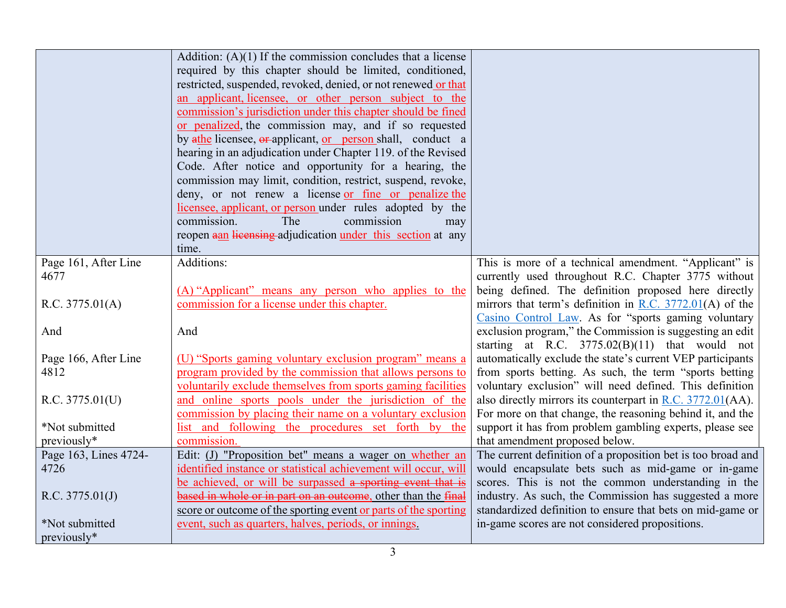|                       | Addition: $(A)(1)$ If the commission concludes that a license   |                                                              |
|-----------------------|-----------------------------------------------------------------|--------------------------------------------------------------|
|                       | required by this chapter should be limited, conditioned,        |                                                              |
|                       | restricted, suspended, revoked, denied, or not renewed or that  |                                                              |
|                       | an applicant, licensee, or other person subject to the          |                                                              |
|                       | commission's jurisdiction under this chapter should be fined    |                                                              |
|                       | or penalized, the commission may, and if so requested           |                                                              |
|                       | by ather licensee, or applicant, or person shall, conduct a     |                                                              |
|                       | hearing in an adjudication under Chapter 119. of the Revised    |                                                              |
|                       | Code. After notice and opportunity for a hearing, the           |                                                              |
|                       | commission may limit, condition, restrict, suspend, revoke,     |                                                              |
|                       | deny, or not renew a license or fine or penalize the            |                                                              |
|                       | licensee, applicant, or person under rules adopted by the       |                                                              |
|                       | commission.<br>The<br>commission<br>may                         |                                                              |
|                       | reopen aan licensing adjudication under this section at any     |                                                              |
|                       | time.                                                           |                                                              |
| Page 161, After Line  | Additions:                                                      | This is more of a technical amendment. "Applicant" is        |
| 4677                  |                                                                 | currently used throughout R.C. Chapter 3775 without          |
|                       | (A) "Applicant" means any person who applies to the             | being defined. The definition proposed here directly         |
| R.C. 3775.01(A)       | commission for a license under this chapter.                    | mirrors that term's definition in R.C. $3772.01(A)$ of the   |
|                       |                                                                 | Casino Control Law. As for "sports gaming voluntary          |
| And                   | And                                                             | exclusion program," the Commission is suggesting an edit     |
|                       |                                                                 | starting at R.C. $3775.02(B)(11)$ that would not             |
| Page 166, After Line  | (U) "Sports gaming voluntary exclusion program" means a         | automatically exclude the state's current VEP participants   |
| 4812                  | program provided by the commission that allows persons to       | from sports betting. As such, the term "sports betting       |
|                       | voluntarily exclude themselves from sports gaming facilities    | voluntary exclusion" will need defined. This definition      |
| R.C. 3775.01(U)       | and online sports pools under the jurisdiction of the           | also directly mirrors its counterpart in R.C. 3772.01(AA).   |
|                       | commission by placing their name on a voluntary exclusion       | For more on that change, the reasoning behind it, and the    |
| *Not submitted        | list and following the procedures set forth by the              | support it has from problem gambling experts, please see     |
| previously*           | commission.                                                     | that amendment proposed below.                               |
| Page 163, Lines 4724- | Edit: (J) "Proposition bet" means a wager on whether an         | The current definition of a proposition bet is too broad and |
| 4726                  | identified instance or statistical achievement will occur, will | would encapsulate bets such as mid-game or in-game           |
|                       | be achieved, or will be surpassed a sporting event that is      | scores. This is not the common understanding in the          |
| R.C. 3775.01(J)       | based in whole or in part on an outcome, other than the final   | industry. As such, the Commission has suggested a more       |
|                       | score or outcome of the sporting event or parts of the sporting | standardized definition to ensure that bets on mid-game or   |
| *Not submitted        | event, such as quarters, halves, periods, or innings.           | in-game scores are not considered propositions.              |
| previously*           |                                                                 |                                                              |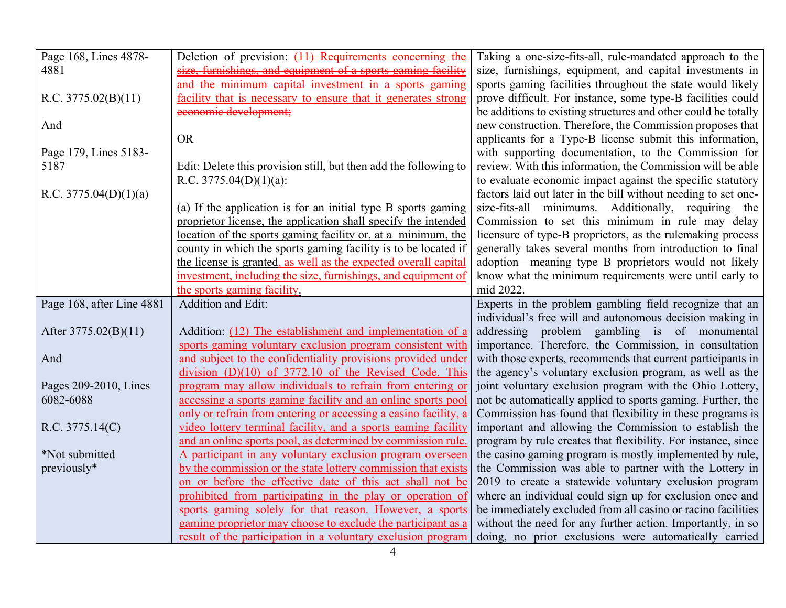| Page 168, Lines 4878-     | Deletion of prevision: (11) Requirements concerning the                                                                      | Taking a one-size-fits-all, rule-mandated approach to the                                                            |
|---------------------------|------------------------------------------------------------------------------------------------------------------------------|----------------------------------------------------------------------------------------------------------------------|
| 4881                      | size, furnishings, and equipment of a sports gaming facility                                                                 | size, furnishings, equipment, and capital investments in                                                             |
|                           | and the minimum capital investment in a sports gaming                                                                        | sports gaming facilities throughout the state would likely                                                           |
| R.C. 3775.02(B)(11)       | facility that is necessary to ensure that it generates strong                                                                | prove difficult. For instance, some type-B facilities could                                                          |
|                           | economic development;                                                                                                        | be additions to existing structures and other could be totally                                                       |
| And                       |                                                                                                                              | new construction. Therefore, the Commission proposes that                                                            |
|                           | <b>OR</b>                                                                                                                    | applicants for a Type-B license submit this information,                                                             |
| Page 179, Lines 5183-     |                                                                                                                              | with supporting documentation, to the Commission for                                                                 |
| 5187                      | Edit: Delete this provision still, but then add the following to                                                             | review. With this information, the Commission will be able                                                           |
|                           | R.C. $3775.04(D)(1)(a)$ :                                                                                                    | to evaluate economic impact against the specific statutory                                                           |
| R.C. $3775.04(D)(1)(a)$   |                                                                                                                              | factors laid out later in the bill without needing to set one-                                                       |
|                           | (a) If the application is for an initial type B sports gaming                                                                | size-fits-all minimums. Additionally, requiring the                                                                  |
|                           | proprietor license, the application shall specify the intended                                                               | Commission to set this minimum in rule may delay                                                                     |
|                           | location of the sports gaming facility or, at a minimum, the                                                                 | licensure of type-B proprietors, as the rulemaking process                                                           |
|                           | county in which the sports gaming facility is to be located if                                                               | generally takes several months from introduction to final                                                            |
|                           | the license is granted, as well as the expected overall capital                                                              | adoption—meaning type B proprietors would not likely                                                                 |
|                           | investment, including the size, furnishings, and equipment of                                                                | know what the minimum requirements were until early to                                                               |
|                           | the sports gaming facility.                                                                                                  | mid 2022.                                                                                                            |
|                           |                                                                                                                              |                                                                                                                      |
| Page 168, after Line 4881 | Addition and Edit:                                                                                                           | Experts in the problem gambling field recognize that an                                                              |
|                           |                                                                                                                              | individual's free will and autonomous decision making in                                                             |
| After 3775.02(B)(11)      | Addition: (12) The establishment and implementation of a                                                                     | addressing problem gambling is of monumental                                                                         |
|                           | sports gaming voluntary exclusion program consistent with                                                                    | importance. Therefore, the Commission, in consultation                                                               |
| And                       | and subject to the confidentiality provisions provided under                                                                 | with those experts, recommends that current participants in                                                          |
|                           | $division (D)(10)$ of 3772.10 of the Revised Code. This                                                                      | the agency's voluntary exclusion program, as well as the                                                             |
| Pages 209-2010, Lines     | program may allow individuals to refrain from entering or                                                                    | joint voluntary exclusion program with the Ohio Lottery,                                                             |
| 6082-6088                 | accessing a sports gaming facility and an online sports pool                                                                 | not be automatically applied to sports gaming. Further, the                                                          |
|                           | only or refrain from entering or accessing a casino facility, a                                                              | Commission has found that flexibility in these programs is                                                           |
| R.C. 3775.14(C)           | video lottery terminal facility, and a sports gaming facility                                                                | important and allowing the Commission to establish the                                                               |
|                           | and an online sports pool, as determined by commission rule.                                                                 | program by rule creates that flexibility. For instance, since                                                        |
| *Not submitted            | A participant in any voluntary exclusion program overseen                                                                    | the casino gaming program is mostly implemented by rule,                                                             |
| previously*               | by the commission or the state lottery commission that exists                                                                | the Commission was able to partner with the Lottery in                                                               |
|                           | on or before the effective date of this act shall not be                                                                     | 2019 to create a statewide voluntary exclusion program                                                               |
|                           | prohibited from participating in the play or operation of                                                                    | where an individual could sign up for exclusion once and                                                             |
|                           | sports gaming solely for that reason. However, a sports                                                                      | be immediately excluded from all casino or racino facilities                                                         |
|                           | gaming proprietor may choose to exclude the participant as a<br>result of the participation in a voluntary exclusion program | without the need for any further action. Importantly, in so<br>doing, no prior exclusions were automatically carried |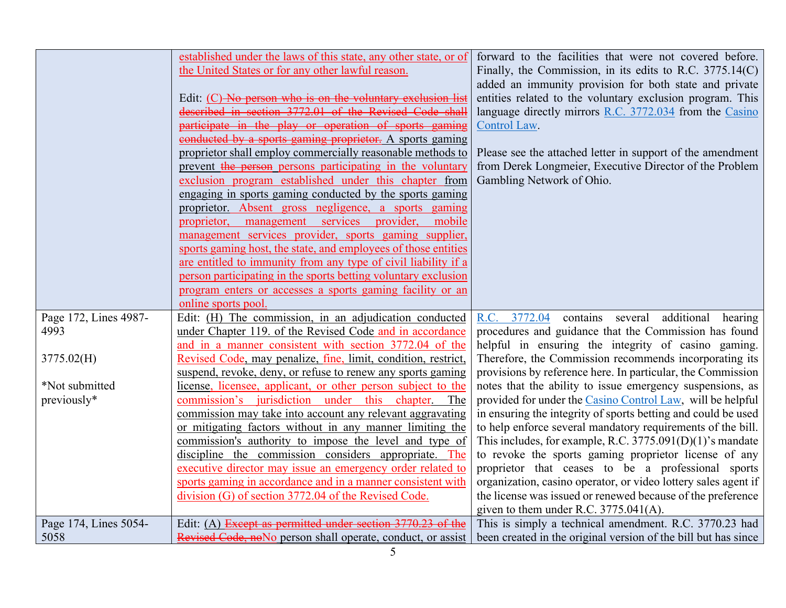|                               | established under the laws of this state, any other state, or of<br>the United States or for any other lawful reason.<br>Edit: (C) No person who is on the voluntary exclusion list<br>described in section 3772.01 of the Revised Code shall<br>participate in the play or operation of sports gaming<br>conducted by a sports gaming proprietor. A sports gaming<br>proprietor shall employ commercially reasonable methods to<br>prevent the person persons participating in the voluntary<br>exclusion program established under this chapter from<br>engaging in sports gaming conducted by the sports gaming<br>proprietor. Absent gross negligence, a sports gaming<br>provider,<br>services<br>mobile<br>proprietor,<br>management<br>management services provider, sports gaming supplier,<br>sports gaming host, the state, and employees of those entities<br>are entitled to immunity from any type of civil liability if a<br>person participating in the sports betting voluntary exclusion<br>program enters or accesses a sports gaming facility or an<br>online sports pool. | forward to the facilities that were not covered before.<br>Finally, the Commission, in its edits to R.C. 3775.14(C)<br>added an immunity provision for both state and private<br>entities related to the voluntary exclusion program. This<br>language directly mirrors R.C. 3772.034 from the Casino<br>Control Law.<br>Please see the attached letter in support of the amendment<br>from Derek Longmeier, Executive Director of the Problem<br>Gambling Network of Ohio. |
|-------------------------------|-----------------------------------------------------------------------------------------------------------------------------------------------------------------------------------------------------------------------------------------------------------------------------------------------------------------------------------------------------------------------------------------------------------------------------------------------------------------------------------------------------------------------------------------------------------------------------------------------------------------------------------------------------------------------------------------------------------------------------------------------------------------------------------------------------------------------------------------------------------------------------------------------------------------------------------------------------------------------------------------------------------------------------------------------------------------------------------------------|-----------------------------------------------------------------------------------------------------------------------------------------------------------------------------------------------------------------------------------------------------------------------------------------------------------------------------------------------------------------------------------------------------------------------------------------------------------------------------|
| Page 172, Lines 4987-<br>4993 | Edit: (H) The commission, in an adjudication conducted<br>under Chapter 119. of the Revised Code and in accordance                                                                                                                                                                                                                                                                                                                                                                                                                                                                                                                                                                                                                                                                                                                                                                                                                                                                                                                                                                            | 3772.04<br>contains several additional<br>R.C.<br>hearing<br>procedures and guidance that the Commission has found                                                                                                                                                                                                                                                                                                                                                          |
|                               | and in a manner consistent with section 3772.04 of the                                                                                                                                                                                                                                                                                                                                                                                                                                                                                                                                                                                                                                                                                                                                                                                                                                                                                                                                                                                                                                        | helpful in ensuring the integrity of casino gaming.                                                                                                                                                                                                                                                                                                                                                                                                                         |
| 3775.02(H)                    | Revised Code, may penalize, fine, limit, condition, restrict,                                                                                                                                                                                                                                                                                                                                                                                                                                                                                                                                                                                                                                                                                                                                                                                                                                                                                                                                                                                                                                 | Therefore, the Commission recommends incorporating its                                                                                                                                                                                                                                                                                                                                                                                                                      |
|                               | suspend, revoke, deny, or refuse to renew any sports gaming                                                                                                                                                                                                                                                                                                                                                                                                                                                                                                                                                                                                                                                                                                                                                                                                                                                                                                                                                                                                                                   | provisions by reference here. In particular, the Commission                                                                                                                                                                                                                                                                                                                                                                                                                 |
| *Not submitted                | license, licensee, applicant, or other person subject to the                                                                                                                                                                                                                                                                                                                                                                                                                                                                                                                                                                                                                                                                                                                                                                                                                                                                                                                                                                                                                                  | notes that the ability to issue emergency suspensions, as                                                                                                                                                                                                                                                                                                                                                                                                                   |
| previously*                   | commission's jurisdiction under this chapter. The                                                                                                                                                                                                                                                                                                                                                                                                                                                                                                                                                                                                                                                                                                                                                                                                                                                                                                                                                                                                                                             | provided for under the Casino Control Law, will be helpful                                                                                                                                                                                                                                                                                                                                                                                                                  |
|                               | commission may take into account any relevant aggravating                                                                                                                                                                                                                                                                                                                                                                                                                                                                                                                                                                                                                                                                                                                                                                                                                                                                                                                                                                                                                                     | in ensuring the integrity of sports betting and could be used                                                                                                                                                                                                                                                                                                                                                                                                               |
|                               | or mitigating factors without in any manner limiting the                                                                                                                                                                                                                                                                                                                                                                                                                                                                                                                                                                                                                                                                                                                                                                                                                                                                                                                                                                                                                                      | to help enforce several mandatory requirements of the bill.                                                                                                                                                                                                                                                                                                                                                                                                                 |
|                               | commission's authority to impose the level and type of                                                                                                                                                                                                                                                                                                                                                                                                                                                                                                                                                                                                                                                                                                                                                                                                                                                                                                                                                                                                                                        | This includes, for example, R.C. $3775.091(D)(1)$ 's mandate                                                                                                                                                                                                                                                                                                                                                                                                                |
|                               | discipline the commission considers appropriate. The<br>executive director may issue an emergency order related to                                                                                                                                                                                                                                                                                                                                                                                                                                                                                                                                                                                                                                                                                                                                                                                                                                                                                                                                                                            | to revoke the sports gaming proprietor license of any<br>proprietor that ceases to be a professional sports                                                                                                                                                                                                                                                                                                                                                                 |
|                               | sports gaming in accordance and in a manner consistent with                                                                                                                                                                                                                                                                                                                                                                                                                                                                                                                                                                                                                                                                                                                                                                                                                                                                                                                                                                                                                                   | organization, casino operator, or video lottery sales agent if                                                                                                                                                                                                                                                                                                                                                                                                              |
|                               | division (G) of section 3772.04 of the Revised Code.                                                                                                                                                                                                                                                                                                                                                                                                                                                                                                                                                                                                                                                                                                                                                                                                                                                                                                                                                                                                                                          | the license was issued or renewed because of the preference                                                                                                                                                                                                                                                                                                                                                                                                                 |
|                               |                                                                                                                                                                                                                                                                                                                                                                                                                                                                                                                                                                                                                                                                                                                                                                                                                                                                                                                                                                                                                                                                                               | given to them under R.C. $3775.041(A)$ .                                                                                                                                                                                                                                                                                                                                                                                                                                    |
| Page 174, Lines 5054-         | Edit: (A) Except as permitted under section 3770.23 of the                                                                                                                                                                                                                                                                                                                                                                                                                                                                                                                                                                                                                                                                                                                                                                                                                                                                                                                                                                                                                                    | This is simply a technical amendment. R.C. 3770.23 had                                                                                                                                                                                                                                                                                                                                                                                                                      |
| 5058                          | Revised Code, noNo person shall operate, conduct, or assist                                                                                                                                                                                                                                                                                                                                                                                                                                                                                                                                                                                                                                                                                                                                                                                                                                                                                                                                                                                                                                   | been created in the original version of the bill but has since                                                                                                                                                                                                                                                                                                                                                                                                              |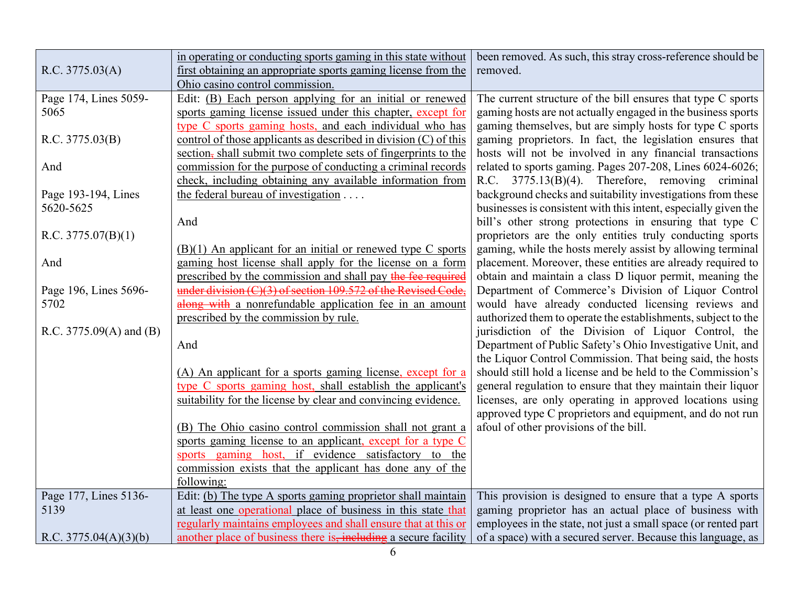|                         | in operating or conducting sports gaming in this state without   | been removed. As such, this stray cross-reference should be     |
|-------------------------|------------------------------------------------------------------|-----------------------------------------------------------------|
| R.C. 3775.03(A)         | first obtaining an appropriate sports gaming license from the    | removed.                                                        |
|                         | Ohio casino control commission.                                  |                                                                 |
| Page 174, Lines 5059-   | Edit: (B) Each person applying for an initial or renewed         | The current structure of the bill ensures that type C sports    |
| 5065                    | sports gaming license issued under this chapter, except for      | gaming hosts are not actually engaged in the business sports    |
|                         | type C sports gaming hosts, and each individual who has          | gaming themselves, but are simply hosts for type C sports       |
| R.C. 3775.03(B)         | control of those applicants as described in division (C) of this | gaming proprietors. In fact, the legislation ensures that       |
|                         | section, shall submit two complete sets of fingerprints to the   | hosts will not be involved in any financial transactions        |
| And                     | commission for the purpose of conducting a criminal records      | related to sports gaming. Pages 207-208, Lines 6024-6026;       |
|                         | check, including obtaining any available information from        | R.C. 3775.13(B)(4). Therefore, removing criminal                |
| Page 193-194, Lines     | the federal bureau of investigation                              | background checks and suitability investigations from these     |
| 5620-5625               |                                                                  | businesses is consistent with this intent, especially given the |
|                         | And                                                              | bill's other strong protections in ensuring that type C         |
| R.C. $3775.07(B)(1)$    |                                                                  | proprietors are the only entities truly conducting sports       |
|                         | $(B)(1)$ An applicant for an initial or renewed type C sports    | gaming, while the hosts merely assist by allowing terminal      |
| And                     | gaming host license shall apply for the license on a form        | placement. Moreover, these entities are already required to     |
|                         | prescribed by the commission and shall pay the fee required      | obtain and maintain a class D liquor permit, meaning the        |
| Page 196, Lines 5696-   | under division (C)(3) of section 109.572 of the Revised Code,    | Department of Commerce's Division of Liquor Control             |
| 5702                    | along with a nonrefundable application fee in an amount          | would have already conducted licensing reviews and              |
|                         | prescribed by the commission by rule.                            | authorized them to operate the establishments, subject to the   |
| R.C. 3775.09(A) and (B) |                                                                  | jurisdiction of the Division of Liquor Control, the             |
|                         | And                                                              | Department of Public Safety's Ohio Investigative Unit, and      |
|                         |                                                                  | the Liquor Control Commission. That being said, the hosts       |
|                         | (A) An applicant for a sports gaming license, except for a       | should still hold a license and be held to the Commission's     |
|                         | type C sports gaming host, shall establish the applicant's       | general regulation to ensure that they maintain their liquor    |
|                         | suitability for the license by clear and convincing evidence.    | licenses, are only operating in approved locations using        |
|                         |                                                                  | approved type C proprietors and equipment, and do not run       |
|                         | (B) The Ohio casino control commission shall not grant a         | afoul of other provisions of the bill.                          |
|                         | sports gaming license to an applicant, except for a type C       |                                                                 |
|                         | sports gaming host, if evidence satisfactory to the              |                                                                 |
|                         | commission exists that the applicant has done any of the         |                                                                 |
|                         | following:                                                       |                                                                 |
| Page 177, Lines 5136-   | Edit: (b) The type A sports gaming proprietor shall maintain     | This provision is designed to ensure that a type A sports       |
| 5139                    | at least one operational place of business in this state that    | gaming proprietor has an actual place of business with          |
|                         | regularly maintains employees and shall ensure that at this or   | employees in the state, not just a small space (or rented part  |
| R.C. $3775.04(A)(3)(b)$ | another place of business there is, including a secure facility  | of a space) with a secured server. Because this language, as    |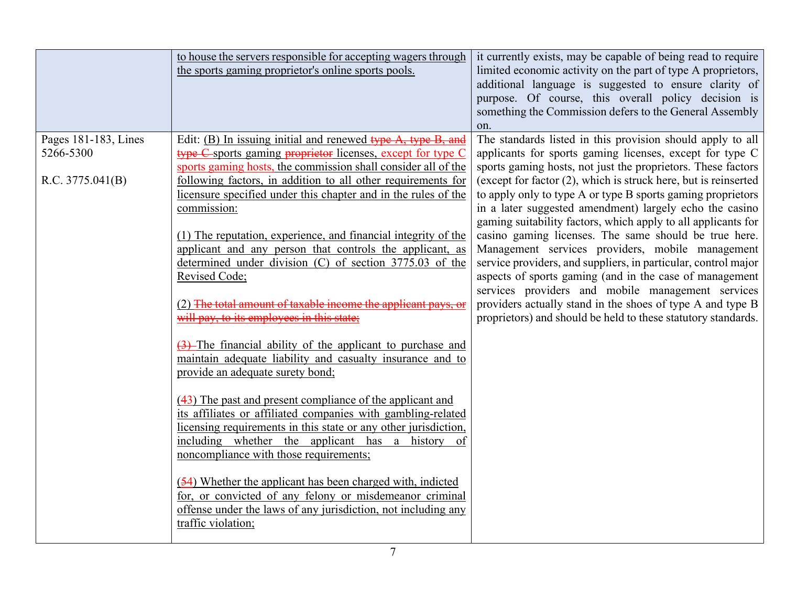|                      | to house the servers responsible for accepting wagers through<br>the sports gaming proprietor's online sports pools.                                                                                         | it currently exists, may be capable of being read to require<br>limited economic activity on the part of type A proprietors,<br>additional language is suggested to ensure clarity of<br>purpose. Of course, this overall policy decision is<br>something the Commission defers to the General Assembly<br>on. |
|----------------------|--------------------------------------------------------------------------------------------------------------------------------------------------------------------------------------------------------------|----------------------------------------------------------------------------------------------------------------------------------------------------------------------------------------------------------------------------------------------------------------------------------------------------------------|
| Pages 181-183, Lines | Edit: $(B)$ In issuing initial and renewed type $A$ , type $B$ , and                                                                                                                                         | The standards listed in this provision should apply to all                                                                                                                                                                                                                                                     |
| 5266-5300            | type C sports gaming proprietor licenses, except for type C<br>sports gaming hosts, the commission shall consider all of the                                                                                 | applicants for sports gaming licenses, except for type C<br>sports gaming hosts, not just the proprietors. These factors                                                                                                                                                                                       |
| R.C. 3775.041(B)     | following factors, in addition to all other requirements for                                                                                                                                                 | (except for factor (2), which is struck here, but is reinserted                                                                                                                                                                                                                                                |
|                      | licensure specified under this chapter and in the rules of the                                                                                                                                               | to apply only to type A or type B sports gaming proprietors                                                                                                                                                                                                                                                    |
|                      | commission:                                                                                                                                                                                                  | in a later suggested amendment) largely echo the casino                                                                                                                                                                                                                                                        |
|                      | (1) The reputation, experience, and financial integrity of the                                                                                                                                               | gaming suitability factors, which apply to all applicants for<br>casino gaming licenses. The same should be true here.                                                                                                                                                                                         |
|                      | applicant and any person that controls the applicant, as                                                                                                                                                     | Management services providers, mobile management                                                                                                                                                                                                                                                               |
|                      | determined under division $(C)$ of section 3775.03 of the                                                                                                                                                    | service providers, and suppliers, in particular, control major                                                                                                                                                                                                                                                 |
|                      | Revised Code;                                                                                                                                                                                                | aspects of sports gaming (and in the case of management<br>services providers and mobile management services                                                                                                                                                                                                   |
|                      | (2) The total amount of taxable income the applicant pays, or                                                                                                                                                | providers actually stand in the shoes of type A and type B                                                                                                                                                                                                                                                     |
|                      | will pay, to its employees in this state;                                                                                                                                                                    | proprietors) and should be held to these statutory standards.                                                                                                                                                                                                                                                  |
|                      | (3) The financial ability of the applicant to purchase and<br>maintain adequate liability and casualty insurance and to<br>provide an adequate surety bond;                                                  |                                                                                                                                                                                                                                                                                                                |
|                      | $(43)$ The past and present compliance of the applicant and                                                                                                                                                  |                                                                                                                                                                                                                                                                                                                |
|                      | its affiliates or affiliated companies with gambling-related<br>licensing requirements in this state or any other jurisdiction,                                                                              |                                                                                                                                                                                                                                                                                                                |
|                      | including whether the applicant has a history                                                                                                                                                                |                                                                                                                                                                                                                                                                                                                |
|                      | noncompliance with those requirements;                                                                                                                                                                       |                                                                                                                                                                                                                                                                                                                |
|                      | (54) Whether the applicant has been charged with, indicted<br>for, or convicted of any felony or misdemeanor criminal<br>offense under the laws of any jurisdiction, not including any<br>traffic violation; |                                                                                                                                                                                                                                                                                                                |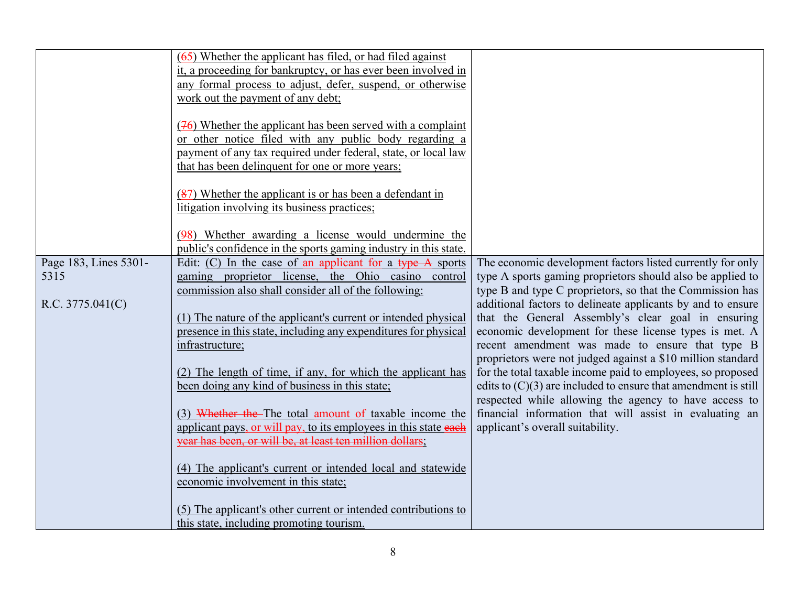|                       | $(65)$ Whether the applicant has filed, or had filed against<br>it, a proceeding for bankruptcy, or has ever been involved in |                                                                  |
|-----------------------|-------------------------------------------------------------------------------------------------------------------------------|------------------------------------------------------------------|
|                       | any formal process to adjust, defer, suspend, or otherwise                                                                    |                                                                  |
|                       | work out the payment of any debt;                                                                                             |                                                                  |
|                       |                                                                                                                               |                                                                  |
|                       | $(46)$ Whether the applicant has been served with a complaint                                                                 |                                                                  |
|                       | or other notice filed with any public body regarding a                                                                        |                                                                  |
|                       | payment of any tax required under federal, state, or local law                                                                |                                                                  |
|                       | that has been delinquent for one or more years;                                                                               |                                                                  |
|                       |                                                                                                                               |                                                                  |
|                       | (87) Whether the applicant is or has been a defendant in                                                                      |                                                                  |
|                       | litigation involving its business practices;                                                                                  |                                                                  |
|                       |                                                                                                                               |                                                                  |
|                       | (98) Whether awarding a license would undermine the                                                                           |                                                                  |
|                       | public's confidence in the sports gaming industry in this state.                                                              |                                                                  |
| Page 183, Lines 5301- | Edit: (C) In the case of an applicant for a type A sports                                                                     | The economic development factors listed currently for only       |
| 5315                  | gaming proprietor license, the Ohio casino<br>control                                                                         | type A sports gaming proprietors should also be applied to       |
|                       | commission also shall consider all of the following:                                                                          | type B and type C proprietors, so that the Commission has        |
| R.C. 3775.041(C)      |                                                                                                                               | additional factors to delineate applicants by and to ensure      |
|                       | (1) The nature of the applicant's current or intended physical                                                                | that the General Assembly's clear goal in ensuring               |
|                       | presence in this state, including any expenditures for physical                                                               | economic development for these license types is met. A           |
|                       | infrastructure;                                                                                                               | recent amendment was made to ensure that type B                  |
|                       |                                                                                                                               | proprietors were not judged against a \$10 million standard      |
|                       | (2) The length of time, if any, for which the applicant has                                                                   | for the total taxable income paid to employees, so proposed      |
|                       | been doing any kind of business in this state;                                                                                | edits to $(C)(3)$ are included to ensure that amendment is still |
|                       |                                                                                                                               | respected while allowing the agency to have access to            |
|                       | (3) Whether the The total amount of taxable income the                                                                        | financial information that will assist in evaluating an          |
|                       | applicant pays, or will pay, to its employees in this state each                                                              | applicant's overall suitability.                                 |
|                       | year has been, or will be, at least ten million dollars;                                                                      |                                                                  |
|                       |                                                                                                                               |                                                                  |
|                       | (4) The applicant's current or intended local and statewide                                                                   |                                                                  |
|                       | economic involvement in this state;                                                                                           |                                                                  |
|                       | (5) The applicant's other current or intended contributions to                                                                |                                                                  |
|                       | this state, including promoting tourism.                                                                                      |                                                                  |
|                       |                                                                                                                               |                                                                  |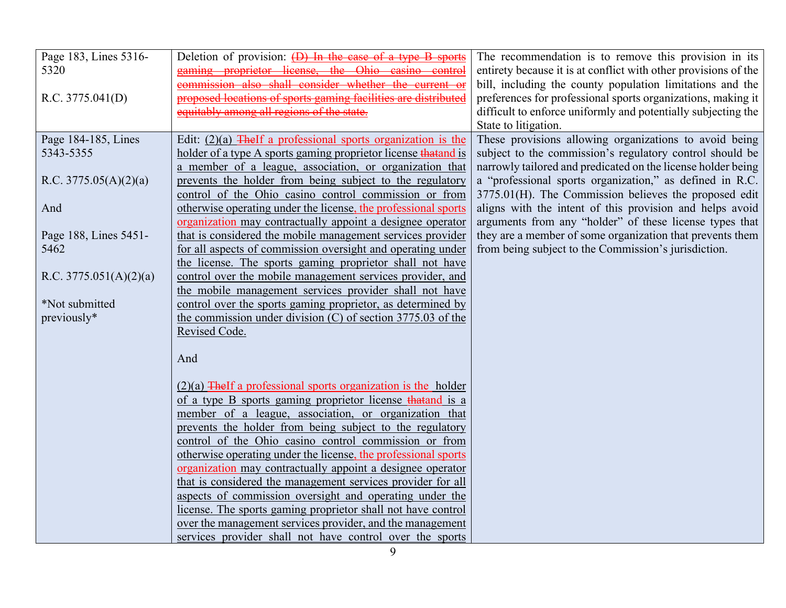| Page 183, Lines 5316-<br>5320 | Deletion of provision: (D) In the case of a type B sports<br>gaming proprietor license, the Ohio casino control<br>commission also shall consider whether the current or | The recommendation is to remove this provision in its<br>entirety because it is at conflict with other provisions of the                                                                   |
|-------------------------------|--------------------------------------------------------------------------------------------------------------------------------------------------------------------------|--------------------------------------------------------------------------------------------------------------------------------------------------------------------------------------------|
| R.C. 3775.041(D)              | proposed locations of sports gaming facilities are distributed<br>equitably among all regions of the state.                                                              | bill, including the county population limitations and the<br>preferences for professional sports organizations, making it<br>difficult to enforce uniformly and potentially subjecting the |
|                               |                                                                                                                                                                          | State to litigation.                                                                                                                                                                       |
| Page 184-185, Lines           | Edit: $(2)(a)$ The If a professional sports organization is the                                                                                                          | These provisions allowing organizations to avoid being                                                                                                                                     |
| 5343-5355                     | holder of a type A sports gaming proprietor license that and is                                                                                                          | subject to the commission's regulatory control should be                                                                                                                                   |
|                               | a member of a league, association, or organization that                                                                                                                  | narrowly tailored and predicated on the license holder being                                                                                                                               |
| R.C. $3775.05(A)(2)(a)$       | prevents the holder from being subject to the regulatory                                                                                                                 | a "professional sports organization," as defined in R.C.                                                                                                                                   |
|                               | control of the Ohio casino control commission or from                                                                                                                    | 3775.01(H). The Commission believes the proposed edit                                                                                                                                      |
| And                           | otherwise operating under the license, the professional sports                                                                                                           | aligns with the intent of this provision and helps avoid                                                                                                                                   |
|                               | organization may contractually appoint a designee operator                                                                                                               | arguments from any "holder" of these license types that                                                                                                                                    |
| Page 188, Lines 5451-         | that is considered the mobile management services provider                                                                                                               | they are a member of some organization that prevents them                                                                                                                                  |
| 5462                          | for all aspects of commission oversight and operating under                                                                                                              | from being subject to the Commission's jurisdiction.                                                                                                                                       |
|                               | the license. The sports gaming proprietor shall not have                                                                                                                 |                                                                                                                                                                                            |
| R.C. $3775.051(A)(2)(a)$      | control over the mobile management services provider, and<br>the mobile management services provider shall not have                                                      |                                                                                                                                                                                            |
| *Not submitted                | control over the sports gaming proprietor, as determined by                                                                                                              |                                                                                                                                                                                            |
| previously*                   | the commission under division $(C)$ of section 3775.03 of the                                                                                                            |                                                                                                                                                                                            |
|                               | Revised Code.                                                                                                                                                            |                                                                                                                                                                                            |
|                               |                                                                                                                                                                          |                                                                                                                                                                                            |
|                               | And                                                                                                                                                                      |                                                                                                                                                                                            |
|                               | $(2)(a)$ The If a professional sports organization is the holder                                                                                                         |                                                                                                                                                                                            |
|                               | of a type B sports gaming proprietor license that and is a                                                                                                               |                                                                                                                                                                                            |
|                               | member of a league, association, or organization that                                                                                                                    |                                                                                                                                                                                            |
|                               | prevents the holder from being subject to the regulatory                                                                                                                 |                                                                                                                                                                                            |
|                               | control of the Ohio casino control commission or from                                                                                                                    |                                                                                                                                                                                            |
|                               | otherwise operating under the license, the professional sports                                                                                                           |                                                                                                                                                                                            |
|                               | organization may contractually appoint a designee operator                                                                                                               |                                                                                                                                                                                            |
|                               | that is considered the management services provider for all                                                                                                              |                                                                                                                                                                                            |
|                               | aspects of commission oversight and operating under the                                                                                                                  |                                                                                                                                                                                            |
|                               | license. The sports gaming proprietor shall not have control                                                                                                             |                                                                                                                                                                                            |
|                               | over the management services provider, and the management                                                                                                                |                                                                                                                                                                                            |
|                               | services provider shall not have control over the sports                                                                                                                 |                                                                                                                                                                                            |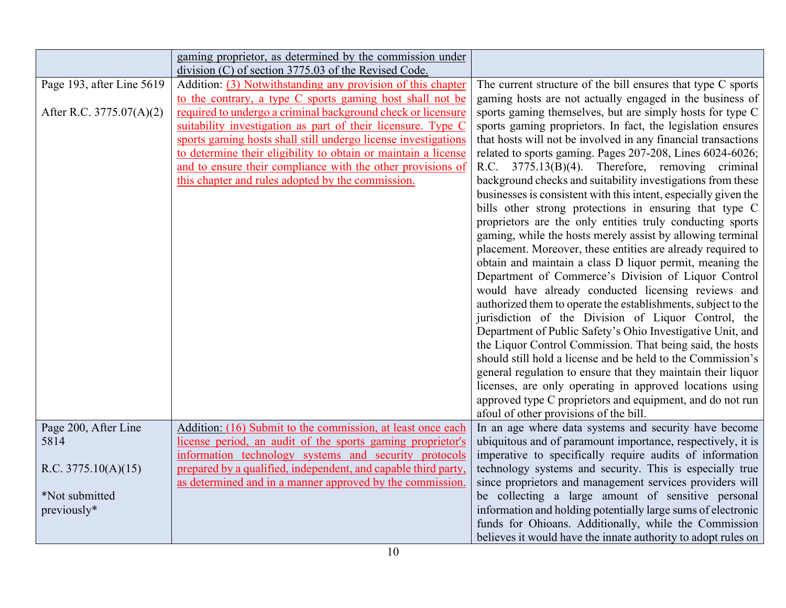|                           | gaming proprietor, as determined by the commission under<br>division (C) of section 3775.03 of the Revised Code. |                                                                 |
|---------------------------|------------------------------------------------------------------------------------------------------------------|-----------------------------------------------------------------|
| Page 193, after Line 5619 | Addition: (3) Notwithstanding any provision of this chapter                                                      | The current structure of the bill ensures that type C sports    |
|                           | to the contrary, a type C sports gaming host shall not be                                                        | gaming hosts are not actually engaged in the business of        |
| After R.C. 3775.07(A)(2)  | required to undergo a criminal background check or licensure                                                     | sports gaming themselves, but are simply hosts for type C       |
|                           | suitability investigation as part of their licensure. Type C                                                     | sports gaming proprietors. In fact, the legislation ensures     |
|                           | sports gaming hosts shall still undergo license investigations                                                   | that hosts will not be involved in any financial transactions   |
|                           | to determine their eligibility to obtain or maintain a license                                                   | related to sports gaming. Pages 207-208, Lines 6024-6026;       |
|                           | and to ensure their compliance with the other provisions of                                                      | R.C. 3775.13(B)(4). Therefore, removing criminal                |
|                           | this chapter and rules adopted by the commission.                                                                | background checks and suitability investigations from these     |
|                           |                                                                                                                  | businesses is consistent with this intent, especially given the |
|                           |                                                                                                                  | bills other strong protections in ensuring that type C          |
|                           |                                                                                                                  | proprietors are the only entities truly conducting sports       |
|                           |                                                                                                                  | gaming, while the hosts merely assist by allowing terminal      |
|                           |                                                                                                                  | placement. Moreover, these entities are already required to     |
|                           |                                                                                                                  | obtain and maintain a class D liquor permit, meaning the        |
|                           |                                                                                                                  | Department of Commerce's Division of Liquor Control             |
|                           |                                                                                                                  | would have already conducted licensing reviews and              |
|                           |                                                                                                                  | authorized them to operate the establishments, subject to the   |
|                           |                                                                                                                  | jurisdiction of the Division of Liquor Control, the             |
|                           |                                                                                                                  | Department of Public Safety's Ohio Investigative Unit, and      |
|                           |                                                                                                                  | the Liquor Control Commission. That being said, the hosts       |
|                           |                                                                                                                  | should still hold a license and be held to the Commission's     |
|                           |                                                                                                                  | general regulation to ensure that they maintain their liquor    |
|                           |                                                                                                                  | licenses, are only operating in approved locations using        |
|                           |                                                                                                                  | approved type C proprietors and equipment, and do not run       |
|                           |                                                                                                                  | afoul of other provisions of the bill.                          |
| Page 200, After Line      | Addition: (16) Submit to the commission, at least once each                                                      | In an age where data systems and security have become           |
| 5814                      | license period, an audit of the sports gaming proprietor's                                                       | ubiquitous and of paramount importance, respectively, it is     |
|                           | information technology systems and security protocols                                                            | imperative to specifically require audits of information        |
| R.C. $3775.10(A)(15)$     | prepared by a qualified, independent, and capable third party,                                                   | technology systems and security. This is especially true        |
|                           | as determined and in a manner approved by the commission.                                                        | since proprietors and management services providers will        |
| *Not submitted            |                                                                                                                  | be collecting a large amount of sensitive personal              |
| previously*               |                                                                                                                  | information and holding potentially large sums of electronic    |
|                           |                                                                                                                  | funds for Ohioans. Additionally, while the Commission           |
|                           |                                                                                                                  | believes it would have the innate authority to adopt rules on   |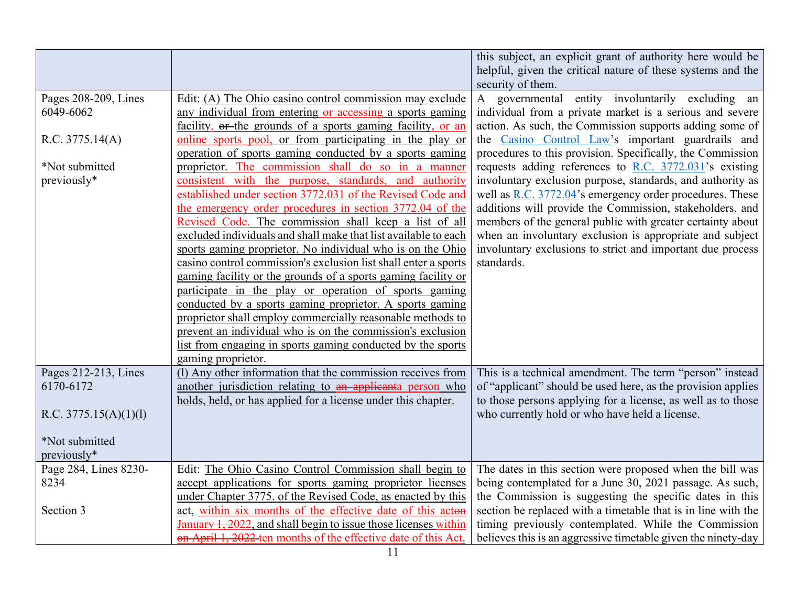|                         |                                                                         | this subject, an explicit grant of authority here would be<br>helpful, given the critical nature of these systems and the<br>security of them. |
|-------------------------|-------------------------------------------------------------------------|------------------------------------------------------------------------------------------------------------------------------------------------|
| Pages 208-209, Lines    | Edit: (A) The Ohio casino control commission may exclude                | A governmental entity involuntarily excluding an                                                                                               |
| 6049-6062               | any individual from entering or accessing a sports gaming               | individual from a private market is a serious and severe                                                                                       |
|                         | facility, or the grounds of a sports gaming facility, or an             | action. As such, the Commission supports adding some of                                                                                        |
|                         | online sports pool, or from participating in the play or                |                                                                                                                                                |
| R.C. 3775.14(A)         |                                                                         | the Casino Control Law's important guardrails and                                                                                              |
|                         | operation of sports gaming conducted by a sports gaming                 | procedures to this provision. Specifically, the Commission                                                                                     |
| *Not submitted          | proprietor. The commission shall do so in a manner                      | requests adding references to R.C. $3772.031$ 's existing                                                                                      |
| previously*             | consistent with the purpose, standards, and authority                   | involuntary exclusion purpose, standards, and authority as                                                                                     |
|                         | established under section 3772.031 of the Revised Code and              | well as R.C. 3772.04's emergency order procedures. These                                                                                       |
|                         | the emergency order procedures in section 3772.04 of the                | additions will provide the Commission, stakeholders, and                                                                                       |
|                         | Revised Code. The commission shall keep a list of all                   | members of the general public with greater certainty about                                                                                     |
|                         | excluded individuals and shall make that list available to each         | when an involuntary exclusion is appropriate and subject                                                                                       |
|                         | sports gaming proprietor. No individual who is on the Ohio              | involuntary exclusions to strict and important due process                                                                                     |
|                         | casino control commission's exclusion list shall enter a sports         | standards.                                                                                                                                     |
|                         | gaming facility or the grounds of a sports gaming facility or           |                                                                                                                                                |
|                         | participate in the play or operation of sports gaming                   |                                                                                                                                                |
|                         | conducted by a sports gaming proprietor. A sports gaming                |                                                                                                                                                |
|                         | proprietor shall employ commercially reasonable methods to              |                                                                                                                                                |
|                         | prevent an individual who is on the commission's exclusion              |                                                                                                                                                |
|                         | list from engaging in sports gaming conducted by the sports             |                                                                                                                                                |
|                         | gaming proprietor.                                                      |                                                                                                                                                |
| Pages 212-213, Lines    | (1) Any other information that the commission receives from             | This is a technical amendment. The term "person" instead                                                                                       |
| 6170-6172               | another jurisdiction relating to an applicanta person who               | of "applicant" should be used here, as the provision applies                                                                                   |
|                         | holds, held, or has applied for a license under this chapter.           | to those persons applying for a license, as well as to those                                                                                   |
| R.C. $3775.15(A)(1)(1)$ |                                                                         | who currently hold or who have held a license.                                                                                                 |
|                         |                                                                         |                                                                                                                                                |
| *Not submitted          |                                                                         |                                                                                                                                                |
| previously*             |                                                                         |                                                                                                                                                |
| Page 284, Lines 8230-   | Edit: The Ohio Casino Control Commission shall begin to                 | The dates in this section were proposed when the bill was                                                                                      |
| 8234                    | accept applications for sports gaming proprietor licenses               | being contemplated for a June 30, 2021 passage. As such,                                                                                       |
|                         | under Chapter 3775. of the Revised Code, as enacted by this             | the Commission is suggesting the specific dates in this                                                                                        |
| Section 3               | act, within six months of the effective date of this acton              | section be replaced with a timetable that is in line with the                                                                                  |
|                         | <b>January 1, 2022</b> , and shall begin to issue those licenses within | timing previously contemplated. While the Commission                                                                                           |
|                         | on April 1, 2022 ten months of the effective date of this Act.          | believes this is an aggressive timetable given the ninety-day                                                                                  |
|                         |                                                                         |                                                                                                                                                |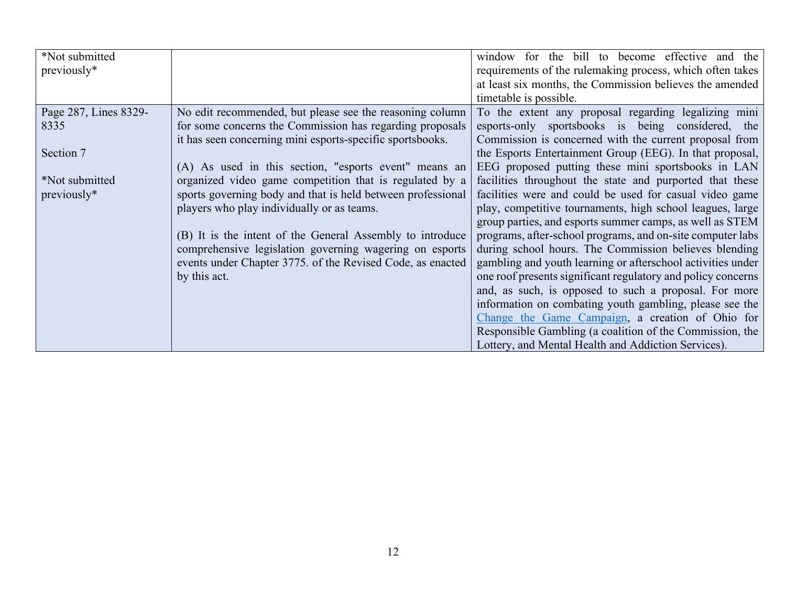| *Not submitted<br>previously* |                                                             | window for the bill to become effective and the<br>requirements of the rulemaking process, which often takes<br>at least six months, the Commission believes the amended<br>timetable is possible. |
|-------------------------------|-------------------------------------------------------------|----------------------------------------------------------------------------------------------------------------------------------------------------------------------------------------------------|
| Page 287, Lines 8329-         | No edit recommended, but please see the reasoning column    | To the extent any proposal regarding legalizing mini                                                                                                                                               |
| 8335                          | for some concerns the Commission has regarding proposals    | esports-only sportsbooks is being considered, the                                                                                                                                                  |
|                               | it has seen concerning mini esports-specific sportsbooks.   | Commission is concerned with the current proposal from                                                                                                                                             |
| Section 7                     |                                                             | the Esports Entertainment Group (EEG). In that proposal,                                                                                                                                           |
|                               | (A) As used in this section, "esports event" means an       | EEG proposed putting these mini sportsbooks in LAN                                                                                                                                                 |
| *Not submitted                | organized video game competition that is regulated by a     | facilities throughout the state and purported that these                                                                                                                                           |
| previously*                   | sports governing body and that is held between professional | facilities were and could be used for casual video game                                                                                                                                            |
|                               | players who play individually or as teams.                  | play, competitive tournaments, high school leagues, large                                                                                                                                          |
|                               |                                                             | group parties, and esports summer camps, as well as STEM                                                                                                                                           |
|                               | (B) It is the intent of the General Assembly to introduce   | programs, after-school programs, and on-site computer labs                                                                                                                                         |
|                               | comprehensive legislation governing wagering on esports     | during school hours. The Commission believes blending                                                                                                                                              |
|                               | events under Chapter 3775. of the Revised Code, as enacted  | gambling and youth learning or afterschool activities under                                                                                                                                        |
|                               | by this act.                                                | one roof presents significant regulatory and policy concerns                                                                                                                                       |
|                               |                                                             | and, as such, is opposed to such a proposal. For more                                                                                                                                              |
|                               |                                                             | information on combating youth gambling, please see the                                                                                                                                            |
|                               |                                                             | Change the Game Campaign, a creation of Ohio for                                                                                                                                                   |
|                               |                                                             | Responsible Gambling (a coalition of the Commission, the                                                                                                                                           |
|                               |                                                             | Lottery, and Mental Health and Addiction Services).                                                                                                                                                |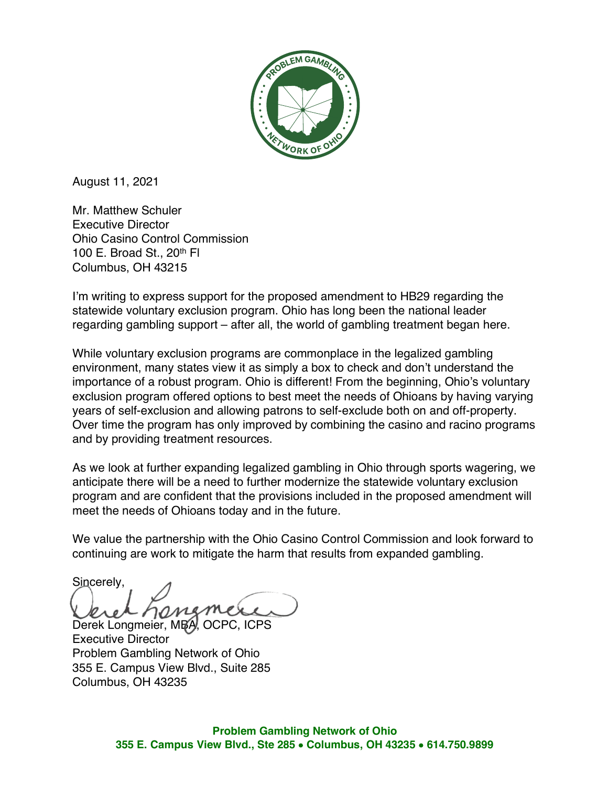

August 11, 2021

Mr. Matthew Schuler Executive Director Ohio Casino Control Commission 100 E. Broad St., 20th Fl Columbus, OH 43215

I'm writing to express support for the proposed amendment to HB29 regarding the statewide voluntary exclusion program. Ohio has long been the national leader regarding gambling support – after all, the world of gambling treatment began here.

While voluntary exclusion programs are commonplace in the legalized gambling environment, many states view it as simply a box to check and don't understand the importance of a robust program. Ohio is different! From the beginning, Ohio's voluntary exclusion program offered options to best meet the needs of Ohioans by having varying years of self-exclusion and allowing patrons to self-exclude both on and off-property. Over time the program has only improved by combining the casino and racino programs and by providing treatment resources.

As we look at further expanding legalized gambling in Ohio through sports wagering, we anticipate there will be a need to further modernize the statewide voluntary exclusion program and are confident that the provisions included in the proposed amendment will meet the needs of Ohioans today and in the future.

We value the partnership with the Ohio Casino Control Commission and look forward to continuing are work to mitigate the harm that results from expanded gambling.

Sincerely,

Derek Longmeier, MBA, OCPC, ICPS Executive Director Problem Gambling Network of Ohio 355 E. Campus View Blvd., Suite 285 Columbus, OH 43235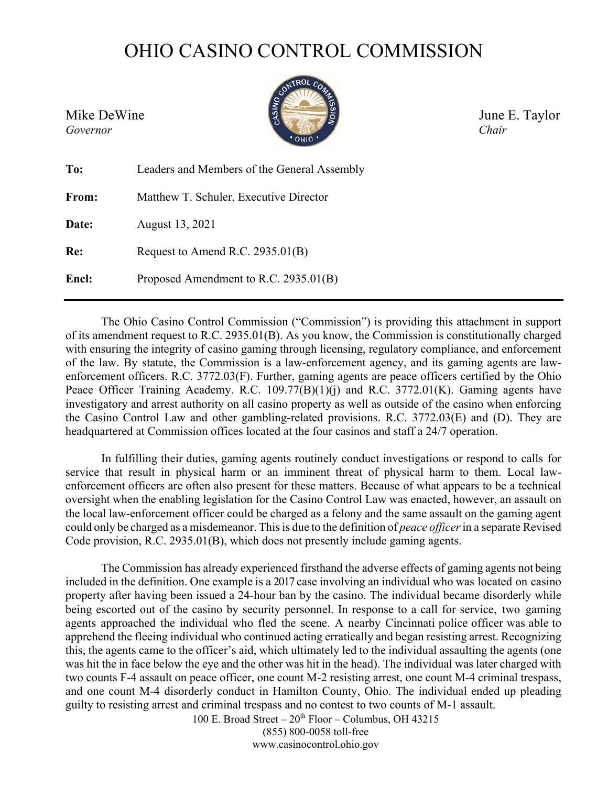## OHIO CASINO CONTROL COMMISSION



Mike DeWine  $\sqrt{\frac{3}{4}}$  June E. Taylor

| To:   | Leaders and Members of the General Assembly |
|-------|---------------------------------------------|
| From: | Matthew T. Schuler, Executive Director      |
| Date: | August 13, 2021                             |
| Re:   | Request to Amend R.C. 2935.01(B)            |
| Encl: | Proposed Amendment to R.C. 2935.01(B)       |

The Ohio Casino Control Commission ("Commission") is providing this attachment in support of its amendment request to R.C. 2935.01(B). As you know, the Commission is constitutionally charged with ensuring the integrity of casino gaming through licensing, regulatory compliance, and enforcement of the law. By statute, the Commission is a law-enforcement agency, and its gaming agents are lawenforcement officers. R.C. 3772.03(F). Further, gaming agents are peace officers certified by the Ohio Peace Officer Training Academy. R.C. 109.77(B)(1)(j) and R.C. 3772.01(K). Gaming agents have investigatory and arrest authority on all casino property as well as outside of the casino when enforcing the Casino Control Law and other gambling-related provisions. R.C. 3772.03(E) and (D). They are headquartered at Commission offices located at the four casinos and staff a 24/7 operation.

In fulfilling their duties, gaming agents routinely conduct investigations or respond to calls for service that result in physical harm or an imminent threat of physical harm to them. Local lawenforcement officers are often also present for these matters. Because of what appears to be a technical oversight when the enabling legislation for the Casino Control Law was enacted, however, an assault on the local law-enforcement officer could be charged as a felony and the same assault on the gaming agent could only be charged as a misdemeanor. Thisis due to the definition of *peace officer*in a separate Revised Code provision, R.C. 2935.01(B), which does not presently include gaming agents.

The Commission has already experienced firsthand the adverse effects of gaming agents not being included in the definition. One example is a 2017 case involving an individual who was located on casino property after having been issued a 24-hour ban by the casino. The individual became disorderly while being escorted out of the casino by security personnel. In response to a call for service, two gaming agents approached the individual who fled the scene. A nearby Cincinnati police officer was able to apprehend the fleeing individual who continued acting erratically and began resisting arrest. Recognizing this, the agents came to the officer's aid, which ultimately led to the individual assaulting the agents (one was hit the in face below the eye and the other was hit in the head). The individual was later charged with two counts F-4 assault on peace officer, one count M-2 resisting arrest, one count M-4 criminal trespass, and one count M-4 disorderly conduct in Hamilton County, Ohio. The individual ended up pleading guilty to resisting arrest and criminal trespass and no contest to two counts of M-1 assault.

100 E. Broad Street –  $20^{th}$  Floor – Columbus, OH 43215 (855) 800-0058 toll-free [www.casinocontrol.ohio.gov](http://www.casinocontrol.ohio.gov/)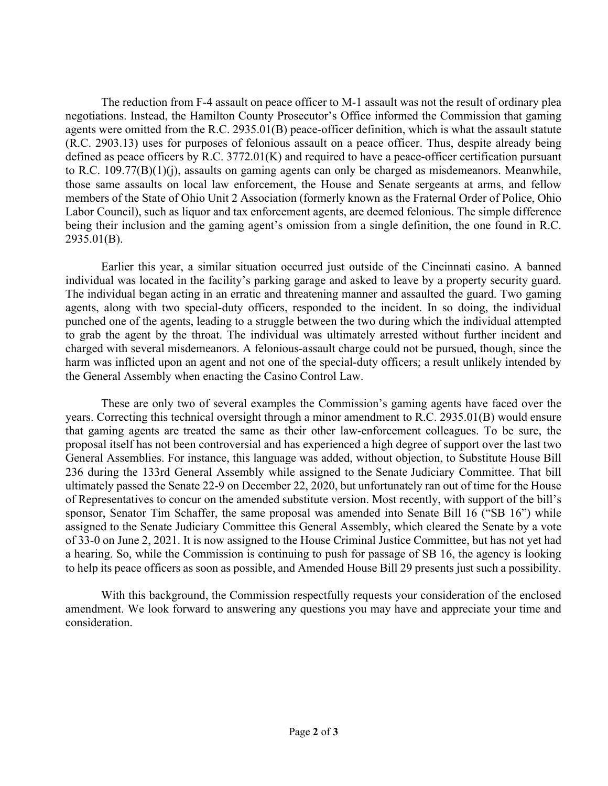The reduction from F-4 assault on peace officer to M-1 assault was not the result of ordinary plea negotiations. Instead, the Hamilton County Prosecutor's Office informed the Commission that gaming agents were omitted from the R.C. 2935.01(B) peace-officer definition, which is what the assault statute (R.C. 2903.13) uses for purposes of felonious assault on a peace officer. Thus, despite already being defined as peace officers by R.C. 3772.01(K) and required to have a peace-officer certification pursuant to R.C. 109.77(B)(1)(j), assaults on gaming agents can only be charged as misdemeanors. Meanwhile, those same assaults on local law enforcement, the House and Senate sergeants at arms, and fellow members of the State of Ohio Unit 2 Association (formerly known as the Fraternal Order of Police, Ohio Labor Council), such as liquor and tax enforcement agents, are deemed felonious. The simple difference being their inclusion and the gaming agent's omission from a single definition, the one found in R.C. 2935.01(B).

Earlier this year, a similar situation occurred just outside of the Cincinnati casino. A banned individual was located in the facility's parking garage and asked to leave by a property security guard. The individual began acting in an erratic and threatening manner and assaulted the guard. Two gaming agents, along with two special-duty officers, responded to the incident. In so doing, the individual punched one of the agents, leading to a struggle between the two during which the individual attempted to grab the agent by the throat. The individual was ultimately arrested without further incident and charged with several misdemeanors. A felonious-assault charge could not be pursued, though, since the harm was inflicted upon an agent and not one of the special-duty officers; a result unlikely intended by the General Assembly when enacting the Casino Control Law.

These are only two of several examples the Commission's gaming agents have faced over the years. Correcting this technical oversight through a minor amendment to R.C. 2935.01(B) would ensure that gaming agents are treated the same as their other law-enforcement colleagues. To be sure, the proposal itself has not been controversial and has experienced a high degree of support over the last two General Assemblies. For instance, this language was added, without objection, to Substitute House Bill 236 during the 133rd General Assembly while assigned to the Senate Judiciary Committee. That bill ultimately passed the Senate 22-9 on December 22, 2020, but unfortunately ran out of time for the House of Representatives to concur on the amended substitute version. Most recently, with support of the bill's sponsor, Senator Tim Schaffer, the same proposal was amended into Senate Bill 16 ("SB 16") while assigned to the Senate Judiciary Committee this General Assembly, which cleared the Senate by a vote of 33-0 on June 2, 2021. It is now assigned to the House Criminal Justice Committee, but has not yet had a hearing. So, while the Commission is continuing to push for passage of SB 16, the agency is looking to help its peace officers as soon as possible, and Amended House Bill 29 presents just such a possibility.

With this background, the Commission respectfully requests your consideration of the enclosed amendment. We look forward to answering any questions you may have and appreciate your time and consideration.